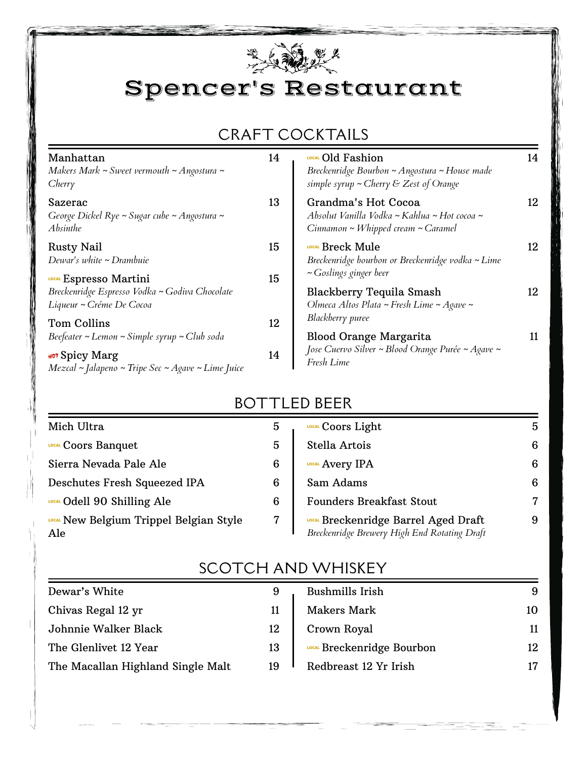

Spencer's Restaurant

## CRAFT COCKTAILS

| Manhattan<br>Makers Mark ~ Sweet vermouth ~ Angostura ~<br>Cherry                                    | 14 | LOCAL Old Fashion<br>Breckenridge Bourbon ~ Angostura ~ House made<br>simple syrup $\sim$ Cherry & Zest of Orange    | 14 |
|------------------------------------------------------------------------------------------------------|----|----------------------------------------------------------------------------------------------------------------------|----|
| Sazerac<br>George Dickel Rye ~ Sugar cube ~ Angostura ~<br><b>Absinthe</b>                           | 13 | Grandma's Hot Cocoa<br>Absolut Vanilla Vodka ~ Kahlua ~ Hot cocoa ~<br>$Cinnamon \sim Whipped \, cream \sim Caramel$ | 12 |
| <b>Rusty Nail</b><br>Dewar's white ~ Drambuie                                                        | 15 | LOCAL Breck Mule<br>Breckenridge bourbon or Breckenridge vodka ~ Lime<br>$\sim$ Goslings ginger beer                 | 12 |
| LOCAL Espresso Martini<br>Breckenridge Espresso Vodka ~ Godiva Chocolate<br>Liqueur ~ Créme De Cocoa | 15 | Blackberry Tequila Smash<br>Olmeca Altos Plata ~ Fresh Lime ~ Agave ~                                                | 12 |
| <b>Tom Collins</b><br>Beefeater ~ Lemon ~ Simple syrup ~ Club soda                                   | 12 | Blackberry puree<br><b>Blood Orange Margarita</b>                                                                    | 11 |
| HOT Spicy Marg<br>$Mez$ cal ~ Jalapeno ~ Tripe Sec ~ Agave ~ Lime Juice                              | 14 | Jose Cuervo Silver ~ Blood Orange Purée ~ Agave ~<br>Fresh Lime                                                      |    |

#### BOTTLED BEER

| Mich Ultra                                            | 5 | LOCAL COOTS Light                                                                           | 5 |
|-------------------------------------------------------|---|---------------------------------------------------------------------------------------------|---|
| LOCAL COOTS Banquet                                   | 5 | Stella Artois                                                                               | 6 |
| Sierra Nevada Pale Ale                                | 6 | LOCAL Avery IPA                                                                             | 6 |
| Deschutes Fresh Squeezed IPA                          | 6 | Sam Adams                                                                                   | 6 |
| LOCAL Odell 90 Shilling Ale                           | 6 | <b>Founders Breakfast Stout</b>                                                             |   |
| <b>LOCAL</b> New Belgium Trippel Belgian Style<br>Ale |   | <b>LOCAL Breckenridge Barrel Aged Draft</b><br>Breckenridge Brewery High End Rotating Draft | 9 |

| Dewar's White                     | 9  | Bushmills Irish            | 9  |
|-----------------------------------|----|----------------------------|----|
| Chivas Regal 12 yr                | 11 | Makers Mark                | 10 |
| Johnnie Walker Black              | 12 | Crown Royal                | 11 |
| The Glenlivet 12 Year             | 13 | LOCAL Breckenridge Bourbon | 12 |
| The Macallan Highland Single Malt | 19 | Redbreast 12 Yr Irish      | 17 |

### SCOTCH AND WHISKEY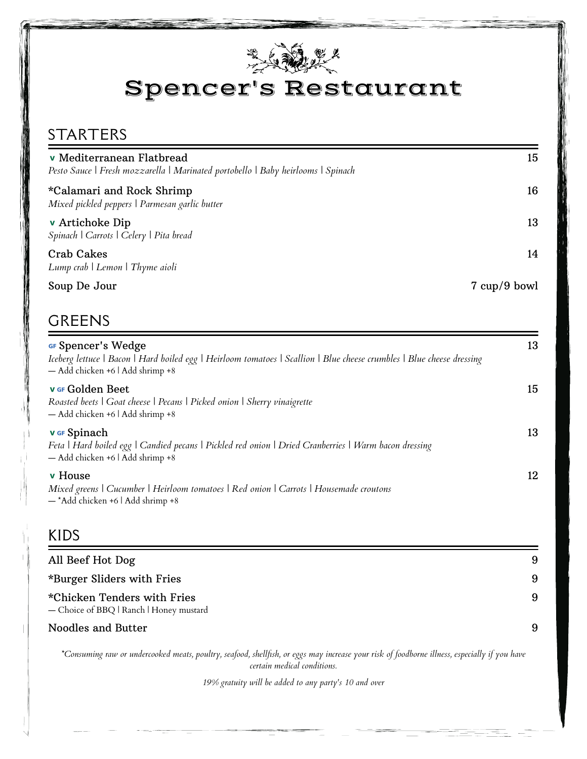

## Spencer's Restaurant

#### STARTERS

| v Mediterranean Flatbread<br>Pesto Sauce   Fresh mozzarella   Marinated portobello   Baby heirlooms   Spinach | 15           |
|---------------------------------------------------------------------------------------------------------------|--------------|
| *Calamari and Rock Shrimp<br>Mixed pickled peppers   Parmesan garlic butter                                   | 16           |
| v Artichoke Dip<br>Spinach   Carrots   Celery   Pita bread                                                    | 13           |
| Crab Cakes<br>Lump crab   Lemon   Thyme aioli                                                                 | 14           |
| Soup De Jour                                                                                                  | 7 cup/9 bowl |

#### GREENS

| GF Spencer's Wedge<br>Iceberg lettuce   Bacon   Hard boiled egg   Heirloom tomatoes   Scallion   Blue cheese crumbles   Blue cheese dressing<br>- Add chicken +6   Add shrimp +8 | 13 |
|----------------------------------------------------------------------------------------------------------------------------------------------------------------------------------|----|
| <b>v</b> Ge Golden Beet<br>Roasted beets   Goat cheese   Pecans   Picked onion   Sherry vinaigrette<br>- Add chicken +6   Add shrimp +8                                          | 15 |
| <b>v</b> GF Spinach<br>Feta   Hard boiled egg   Candied pecans   Pickled red onion   Dried Cranberries   Warm bacon dressing<br>- Add chicken +6   Add shrimp +8                 | 13 |
| <b>v</b> House<br>Mixed greens   Cucumber   Heirloom tomatoes   Red onion   Carrots   Housemade croutons<br>- *Add chicken +6   Add shrimp +8                                    | 12 |

#### KIDS

| All Beef Hot Dog                                                       | 9  |
|------------------------------------------------------------------------|----|
| *Burger Sliders with Fries                                             | -9 |
| *Chicken Tenders with Fries<br>- Choice of BBQ   Ranch   Honey mustard | 9  |
| Noodles and Butter                                                     | 9  |

*\*Consuming raw or undercooked meats, poultry, seafood, shellfish, or eggs may increase your risk of foodborne illness, especially if you have certain medical conditions.*

*19% gratuity will be added to any party's 10 and over*